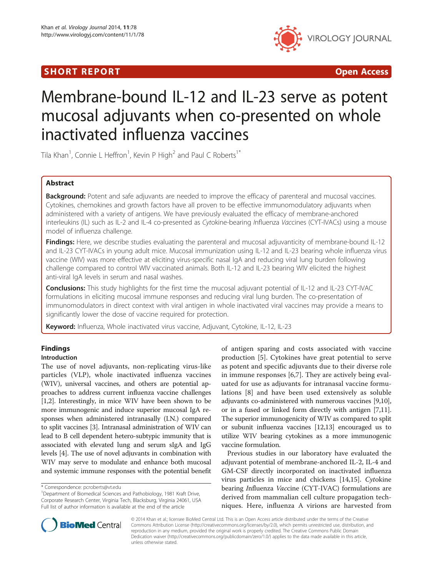# SHORT REPORT **The Contract of the Contract Open Access** (SHORT **Contract of the Contract Open Access**



# Membrane-bound IL-12 and IL-23 serve as potent mucosal adjuvants when co-presented on whole inactivated influenza vaccines

Tila Khan<sup>1</sup>, Connie L Heffron<sup>1</sup>, Kevin P High<sup>2</sup> and Paul C Roberts<sup>1\*</sup>

## Abstract

Background: Potent and safe adjuvants are needed to improve the efficacy of parenteral and mucosal vaccines. Cytokines, chemokines and growth factors have all proven to be effective immunomodulatory adjuvants when administered with a variety of antigens. We have previously evaluated the efficacy of membrane-anchored interleukins (IL) such as IL-2 and IL-4 co-presented as Cytokine-bearing Influenza Vaccines (CYT-IVACs) using a mouse model of influenza challenge.

**Findings:** Here, we describe studies evaluating the parenteral and mucosal adjuvanticity of membrane-bound IL-12 and IL-23 CYT-IVACs in young adult mice. Mucosal immunization using IL-12 and IL-23 bearing whole influenza virus vaccine (WIV) was more effective at eliciting virus-specific nasal IgA and reducing viral lung burden following challenge compared to control WIV vaccinated animals. Both IL-12 and IL-23 bearing WIV elicited the highest anti-viral IgA levels in serum and nasal washes.

Conclusions: This study highlights for the first time the mucosal adjuvant potential of IL-12 and IL-23 CYT-IVAC formulations in eliciting mucosal immune responses and reducing viral lung burden. The co-presentation of immunomodulators in direct context with viral antigen in whole inactivated viral vaccines may provide a means to significantly lower the dose of vaccine required for protection.

Keyword: Influenza, Whole inactivated virus vaccine, Adjuvant, Cytokine, IL-12, IL-23

## Findings

## Introduction

The use of novel adjuvants, non-replicating virus-like particles (VLP), whole inactivated influenza vaccines (WIV), universal vaccines, and others are potential approaches to address current influenza vaccine challenges [[1,2](#page-6-0)]. Interestingly, in mice WIV have been shown to be more immunogenic and induce superior mucosal IgA responses when administered intranasally (I.N.) compared to split vaccines [[3\]](#page-6-0). Intranasal administration of WIV can lead to B cell dependent hetero-subtypic immunity that is associated with elevated lung and serum sIgA and IgG levels [\[4](#page-6-0)]. The use of novel adjuvants in combination with WIV may serve to modulate and enhance both mucosal and systemic immune responses with the potential benefit

of antigen sparing and costs associated with vaccine production [[5\]](#page-6-0). Cytokines have great potential to serve as potent and specific adjuvants due to their diverse role in immune responses [[6,7\]](#page-6-0). They are actively being evaluated for use as adjuvants for intranasal vaccine formulations [\[8](#page-6-0)] and have been used extensively as soluble adjuvants co-administered with numerous vaccines [[9,10](#page-6-0)], or in a fused or linked form directly with antigen [[7,11](#page-6-0)]. The superior immunogenicity of WIV as compared to split or subunit influenza vaccines [[12,13](#page-6-0)] encouraged us to utilize WIV bearing cytokines as a more immunogenic vaccine formulation.

Previous studies in our laboratory have evaluated the adjuvant potential of membrane-anchored IL-2, IL-4 and GM-CSF directly incorporated on inactivated influenza virus particles in mice and chickens [\[14,15\]](#page-6-0). Cytokine bearing Influenza Vaccine (CYT-IVAC) formulations are derived from mammalian cell culture propagation techniques. Here, influenza A virions are harvested from



© 2014 Khan et al.; licensee BioMed Central Ltd. This is an Open Access article distributed under the terms of the Creative Commons Attribution License [\(http://creativecommons.org/licenses/by/2.0\)](http://creativecommons.org/licenses/by/2.0), which permits unrestricted use, distribution, and reproduction in any medium, provided the original work is properly credited. The Creative Commons Public Domain Dedication waiver [\(http://creativecommons.org/publicdomain/zero/1.0/](http://creativecommons.org/publicdomain/zero/1.0/)) applies to the data made available in this article, unless otherwise stated.

<sup>\*</sup> Correspondence: [pcroberts@vt.edu](mailto:pcroberts@vt.edu) <sup>1</sup>

<sup>&</sup>lt;sup>1</sup>Department of Biomedical Sciences and Pathobiology, 1981 Kraft Drive, Corporate Research Center, Virginia Tech, Blacksburg, Virginia 24061, USA Full list of author information is available at the end of the article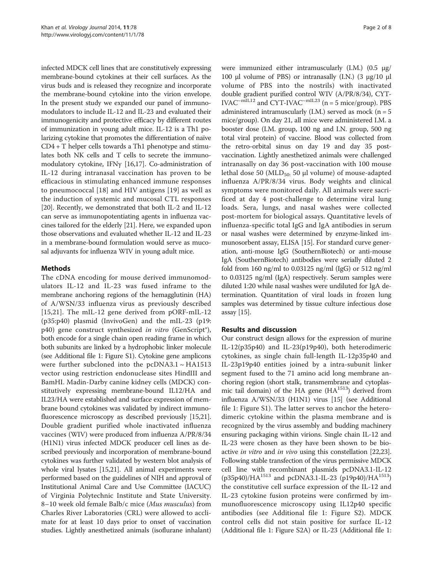infected MDCK cell lines that are constitutively expressing membrane-bound cytokines at their cell surfaces. As the virus buds and is released they recognize and incorporate the membrane-bound cytokine into the virion envelope. In the present study we expanded our panel of immunomodulators to include IL-12 and IL-23 and evaluated their immunogenicity and protective efficacy by different routes of immunization in young adult mice. IL-12 is a Th1 polarizing cytokine that promotes the differentiation of naïve CD4 + T helper cells towards a Th1 phenotype and stimulates both NK cells and T cells to secrete the immunomodulatory cytokine, IFNγ [[16,17\]](#page-6-0). Co-administration of IL-12 during intranasal vaccination has proven to be efficacious in stimulating enhanced immune responses to pneumococcal [[18](#page-6-0)] and HIV antigens [[19\]](#page-6-0) as well as the induction of systemic and mucosal CTL responses [[20](#page-6-0)]. Recently, we demonstrated that both IL-2 and IL-12 can serve as immunopotentiating agents in influenza vaccines tailored for the elderly [[21](#page-6-0)]. Here, we expanded upon those observations and evaluated whether IL-12 and IL-23 in a membrane-bound formulation would serve as mucosal adjuvants for influenza WIV in young adult mice.

## Methods

The cDNA encoding for mouse derived immunomodulators IL-12 and IL-23 was fused inframe to the membrane anchoring regions of the hemagglutinin (HA) of A/WSN/33 influenza virus as previously described [[15,21](#page-6-0)]. The mIL-12 gene derived from pORF-mIL-12 (p35:p40) plasmid (InvivoGen) and the mIL-23 (p19: p40) gene construct synthesized in vitro (GenScript®), both encode for a single chain open reading frame in which both subunits are linked by a hydrophobic linker molecule (see Additional file [1](#page-5-0): Figure S1). Cytokine gene amplicons were further subcloned into the  $pcDNA3.1 \sim HA1513$ vector using restriction endonuclease sites HindIII and BamHI. Madin-Darby canine kidney cells (MDCK) constitutively expressing membrane-bound IL12/HA and IL23/HA were established and surface expression of membrane bound cytokines was validated by indirect immunofluorescence microscopy as described previously [\[15,21](#page-6-0)]. Double gradient purified whole inactivated influenza vaccines (WIV) were produced from influenza A/PR/8/34 (H1N1) virus infected MDCK producer cell lines as described previously and incorporation of membrane-bound cytokines was further validated by western blot analysis of whole viral lysates [[15,21](#page-6-0)]. All animal experiments were performed based on the guidelines of NIH and approval of Institutional Animal Care and Use Committee (IACUC) of Virginia Polytechnic Institute and State University. 8–10 week old female Balb/c mice (Mus musculus) from Charles River Laboratories (CRL) were allowed to acclimate for at least 10 days prior to onset of vaccination studies. Lightly anesthetized animals (isoflurane inhalant)

were immunized either intramuscularly (I.M.) (0.5 μg/ 100 μl volume of PBS) or intranasally (I.N.) (3 μg/10 μl volume of PBS into the nostrils) with inactivated double gradient purified control WIV (A/PR/8/34), CYT-IVAC<sup> $\sim$ mIL12</sup> and CYT-IVAC<sup> $\sim$ mIL23</sup> (n = 5 mice/group). PBS administered intramuscularly (I.M.) served as mock ( $n = 5$ mice/group). On day 21, all mice were administered I.M. a booster dose (I.M. group, 100 ng and I.N. group, 500 ng total viral protein) of vaccine. Blood was collected from the retro-orbital sinus on day 19 and day 35 postvaccination. Lightly anesthetized animals were challenged intranasally on day 36 post-vaccination with 100 mouse lethal dose 50 ( $MLD_{50}$ : 50 μl volume) of mouse-adapted influenza A/PR/8/34 virus. Body weights and clinical symptoms were monitored daily. All animals were sacrificed at day 4 post-challenge to determine viral lung loads. Sera, lungs, and nasal washes were collected post-mortem for biological assays. Quantitative levels of influenza-specific total IgG and IgA antibodies in serum or nasal washes were determined by enzyme-linked immunosorbent assay, ELISA [[15](#page-6-0)]. For standard curve generation, anti-mouse IgG (SouthernBiotech) or anti-mouse IgA (SouthernBiotech) antibodies were serially diluted 2 fold from 160 ng/ml to 0.03125 ng/ml (IgG) or 512 ng/ml to 0.03125 ng/ml (IgA) respectively. Serum samples were diluted 1:20 while nasal washes were undiluted for IgA determination. Quantitation of viral loads in frozen lung samples was determined by tissue culture infectious dose assay [[15](#page-6-0)].

## Results and discussion

Our construct design allows for the expression of murine IL-12(p35p40) and IL-23(p19p40), both heterodimeric cytokines, as single chain full-length IL-12p35p40 and IL-23p19p40 entities joined by a intra-subunit linker segment fused to the 71 amino acid long membrane anchoring region (short stalk, transmembrane and cytoplasmic tail domain) of the HA gene  $(HA<sup>1513</sup>)$  derived from influenza A/WSN/33 (H1N1) virus [[15](#page-6-0)] (see Additional file [1](#page-5-0): Figure S1). The latter serves to anchor the heterodimeric cytokine within the plasma membrane and is recognized by the virus assembly and budding machinery ensuring packaging within virions. Single chain IL-12 and IL-23 were chosen as they have been shown to be bioactive *in vitro* and *in vivo* using this constellation [\[22,23](#page-6-0)]. Following stable transfection of the virus permissive MDCK cell line with recombinant plasmids pcDNA3.1-IL-12  $(p35p40)/HA^{1513}$  and pcDNA3.1-IL-23  $(p19p40)/HA^{1513}$ ) the constitutive cell surface expression of the IL-12 and IL-23 cytokine fusion proteins were confirmed by immunofluorescence microscopy using IL12p40 specific antibodies (see Additional file [1:](#page-5-0) Figure S2). MDCK control cells did not stain positive for surface IL-12 (Additional file [1](#page-5-0): Figure S2A) or IL-23 (Additional file [1](#page-5-0):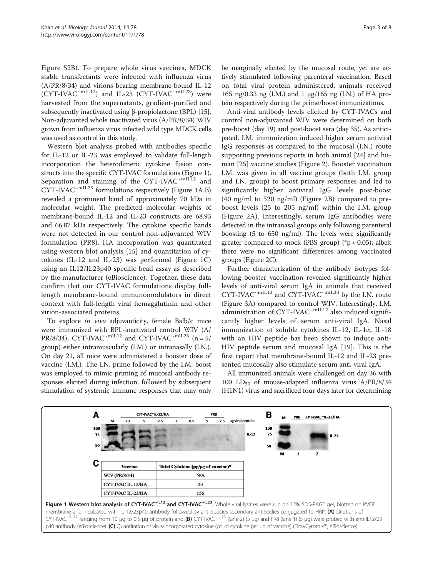Figure S2B). To prepare whole virus vaccines, MDCK stable transfectants were infected with influenza virus (A/PR/8/34) and virions bearing membrane-bound IL-12  $(CYT\text{-}IVAC^{-mIL12})$  and IL-23  $(CYT\text{-}IVAC^{-mIL23})$  were harvested from the supernatants, gradient-purified and subsequently inactivated using β-propiolactone (BPL) [[15](#page-6-0)]. Non-adjuvanted whole inactivated virus (A/PR/8/34) WIV grown from influenza virus infected wild type MDCK cells was used as control in this study.

Western blot analysis probed with antibodies specific for IL-12 or IL-23 was employed to validate full-length incorporation the heterodimeric cytokine fusion constructs into the specific CYT-IVAC formulations (Figure 1). Separation and staining of the CYT-IVAC<sup>~mIL12</sup> and  $CYT$ -IVA $C^{\sim$ mIL23 formulations respectively (Figure 1A,B) revealed a prominent band of approximately 70 kDa in molecular weight. The predicted molecular weights of membrane-bound IL-12 and IL-23 constructs are 68.93 and 66.87 kDa respectively. The cytokine specific bands were not detected in our control non-adjuvanted WIV formulation (PR8). HA incorporation was quantitated using western blot analysis [[15\]](#page-6-0) and quantitation of cytokines (IL-12 and IL-23) was performed (Figure 1C) using an IL12/IL23p40 specific bead assay as described by the manufacturer (eBioscience). Together, these data confirm that our CYT-IVAC formulations display fulllength membrane-bound immunomodulators in direct context with full-length viral hemagglutinin and other virion-associated proteins.

To explore in vivo adjuvanticity, female Balb/c mice were immunized with BPL-inactivated control WIV (A/ PR/8/34), CYT-IVAC<sup>~mIL12</sup> and CYT-IVAC<sup>~mIL23</sup> (n = 5/ group) either intramuscularly (I.M.) or intranasally (I.N.). On day 21, all mice were administered a booster dose of vaccine (I.M.). The I.N. prime followed by the I.M. boost was employed to mimic priming of mucosal antibody responses elicited during infection, followed by subsequent stimulation of systemic immune responses that may only

be marginally elicited by the mucosal route, yet are actively stimulated following parenteral vaccination. Based on total viral protein administered, animals received 165 ng/0.33 ng (I.M.) and 1 μg/165 ng (I.N.) of HA protein respectively during the prime/boost immunizations.

Anti-viral antibody levels elicited by CYT-IVACs and control non-adjuvanted WIV were determined on both pre-boost (day 19) and post-boost sera (day 35). As anticipated, I.M. immunization induced higher serum antiviral IgG responses as compared to the mucosal (I.N.) route supporting previous reports in both animal [[24](#page-6-0)] and human [[25](#page-6-0)] vaccine studies (Figure [2](#page-3-0)). Booster vaccination I.M. was given in all vaccine groups (both I.M. group and I.N. group) to boost primary responses and led to significantly higher antiviral IgG levels post-boost (40 ng/ml to 520 ng/ml) (Figure [2](#page-3-0)B) compared to preboost levels (25 to 205 ng/ml) within the I.M. group (Figure [2](#page-3-0)A). Interestingly, serum IgG antibodies were detected in the intranasal groups only following parenteral boosting (5 to 650 ng/ml). The levels were significantly greater compared to mock (PBS group) ( $p < 0.05$ ); albeit there were no significant differences among vaccinated groups (Figure [2](#page-3-0)C).

Further characterization of the antibody isotypes following booster vaccination revealed significantly higher levels of anti-viral serum IgA in animals that received CYT-IVAC~mIL12 and CYT-IVAC~mIL23 by the I.N. route (Figure [3](#page-4-0)A) compared to control WIV. Interestingly, I.M. administration of CYT-IVAC~mIL12 also induced significantly higher levels of serum anti-viral IgA. Nasal immunization of soluble cytokines IL-12, IL-1α, IL-18 with an HIV peptide has been shown to induce anti-HIV peptide serum and mucosal IgA [\[19\]](#page-6-0). This is the first report that membrane-bound IL-12 and IL-23 presented mucosally also stimulate serum anti-viral IgA.

All immunized animals were challenged on day 36 with 100  $LD_{50}$  of mouse-adapted influenza virus  $A/PR/8/34$ (H1N1) virus and sacrificed four days later for determining

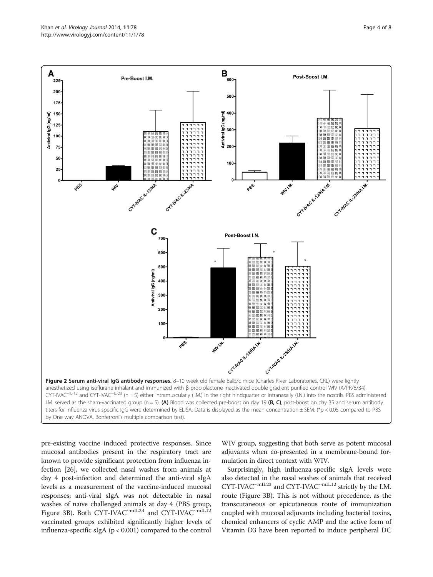<span id="page-3-0"></span>

pre-existing vaccine induced protective responses. Since mucosal antibodies present in the respiratory tract are known to provide significant protection from influenza infection [[26](#page-6-0)], we collected nasal washes from animals at day 4 post-infection and determined the anti-viral sIgA levels as a measurement of the vaccine-induced mucosal responses; anti-viral sIgA was not detectable in nasal washes of naïve challenged animals at day 4 (PBS group, Figure [3](#page-4-0)B). Both CYT-IVAC<sup>~mIL23</sup> and CYT-IVAC<sup>~mIL12</sup> vaccinated groups exhibited significantly higher levels of influenza-specific sIgA (p < 0.001) compared to the control WIV group, suggesting that both serve as potent mucosal adjuvants when co-presented in a membrane-bound formulation in direct context with WIV.

Surprisingly, high influenza-specific sIgA levels were also detected in the nasal washes of animals that received CYT-IVAC~mIL23 and CYT-IVAC~mIL12 strictly by the I.M. route (Figure [3](#page-4-0)B). This is not without precedence, as the transcutaneous or epicutaneous route of immunization coupled with mucosal adjuvants including bacterial toxins, chemical enhancers of cyclic AMP and the active form of Vitamin D3 have been reported to induce peripheral DC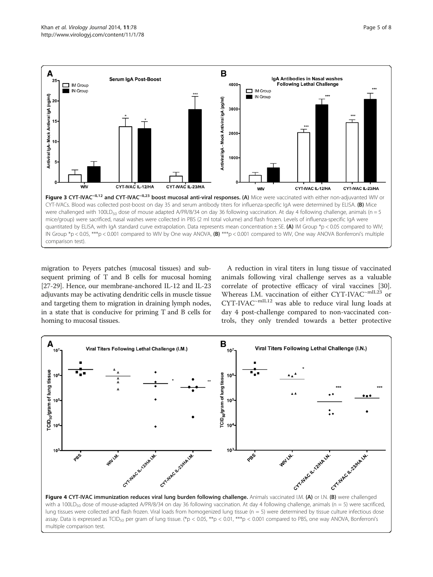<span id="page-4-0"></span>

migration to Peyers patches (mucosal tissues) and subsequent priming of T and B cells for mucosal homing [[27](#page-6-0)-[29](#page-6-0)]. Hence, our membrane-anchored IL-12 and IL-23 adjuvants may be activating dendritic cells in muscle tissue and targeting them to migration in draining lymph nodes, in a state that is conducive for priming T and B cells for homing to mucosal tissues.

A reduction in viral titers in lung tissue of vaccinated animals following viral challenge serves as a valuable correlate of protective efficacy of viral vaccines [\[30](#page-6-0)]. Whereas I.M. vaccination of either CYT-IVAC<sup>~mIL23</sup> or CYT-IVAC~mIL12 was able to reduce viral lung loads at day 4 post-challenge compared to non-vaccinated controls, they only trended towards a better protective



with a 100LD<sub>50</sub> dose of mouse-adapted A/PR/8/34 on day 36 following vaccination. At day 4 following challenge, animals (n = 5) were sacrificed, lung tissues were collected and flash frozen. Viral loads from homogenized lung tissue (n = 5) were determined by tissue culture infectious dose assay. Data is expressed as TCID<sub>50</sub> per gram of lung tissue. (\*p < 0.05, \*\*p < 0.01, \*\*\*p < 0.001 compared to PBS, one way ANOVA, Bonferroni's multiple comparison test.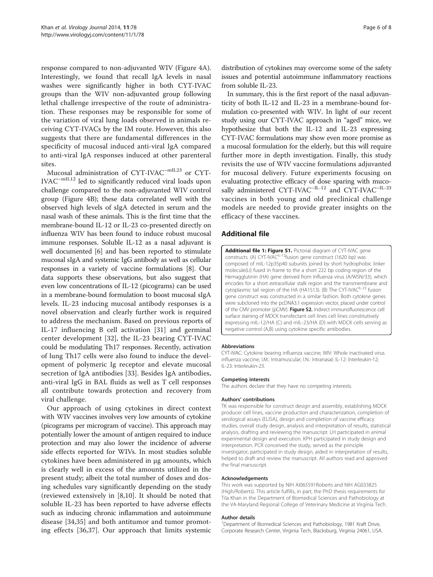<span id="page-5-0"></span>response compared to non-adjuvanted WIV (Figure [4](#page-4-0)A). Interestingly, we found that recall IgA levels in nasal washes were significantly higher in both CYT-IVAC groups than the WIV non-adjuvanted group following lethal challenge irrespective of the route of administration. These responses may be responsible for some of the variation of viral lung loads observed in animals receiving CYT-IVACs by the IM route. However, this also suggests that there are fundamental differences in the specificity of mucosal induced anti-viral IgA compared to anti-viral IgA responses induced at other parenteral sites.

Mucosal administration of CYT-IVAC~mIL23 or CYT-IVAC~mIL12 led to significantly reduced viral loads upon challenge compared to the non-adjuvanted WIV control group (Figure [4](#page-4-0)B); these data correlated well with the observed high levels of sIgA detected in serum and the nasal wash of these animals. This is the first time that the membrane-bound IL-12 or IL-23 co-presented directly on influenza WIV has been found to induce robust mucosal immune responses. Soluble IL-12 as a nasal adjuvant is well documented [\[6](#page-6-0)] and has been reported to stimulate mucosal sIgA and systemic IgG antibody as well as cellular responses in a variety of vaccine formulations [\[8](#page-6-0)]. Our data supports these observations, but also suggest that even low concentrations of IL-12 (picograms) can be used in a membrane-bound formulation to boost mucosal sIgA levels. IL-23 inducing mucosal antibody responses is a novel observation and clearly further work is required to address the mechanism. Based on previous reports of IL-17 influencing B cell activation [\[31](#page-6-0)] and germinal center development [\[32](#page-6-0)], the IL-23 bearing CYT-IVAC could be modulating Th17 responses. Recently, activation of lung Th17 cells were also found to induce the development of polymeric Ig receptor and elevate mucosal secretion of IgA antibodies [\[33](#page-6-0)]. Besides IgA antibodies, anti-viral IgG in BAL fluids as well as T cell responses all contribute towards protection and recovery from viral challenge.

Our approach of using cytokines in direct context with WIV vaccines involves very low amounts of cytokine (picograms per microgram of vaccine). This approach may potentially lower the amount of antigen required to induce protection and may also lower the incidence of adverse side effects reported for WIVs. In most studies soluble cytokines have been administered in μg amounts, which is clearly well in excess of the amounts utilized in the present study; albeit the total number of doses and dosing schedules vary significantly depending on the study (reviewed extensively in [[8,10](#page-6-0)]. It should be noted that soluble IL-23 has been reported to have adverse effects such as inducing chronic inflammation and autoimmune disease [[34,35](#page-6-0)] and both antitumor and tumor promoting effects [[36,37](#page-7-0)]. Our approach that limits systemic distribution of cytokines may overcome some of the safety issues and potential autoimmune inflammatory reactions from soluble IL-23.

In summary, this is the first report of the nasal adjuvanticity of both IL-12 and IL-23 in a membrane-bound formulation co-presented with WIV. In light of our recent study using our CYT-IVAC approach in "aged" mice, we hypothesize that both the IL-12 and IL-23 expressing CYT-IVAC formulations may show even more promise as a mucosal formulation for the elderly, but this will require further more in depth investigation. Finally, this study revisits the use of WIV vaccine formulations adjuvanted for mucosal delivery. Future experiments focusing on evaluating protective efficacy of dose sparing with mucosally administered CYT-IVAC<sup>~IL-12</sup> and CYT-IVAC<sup>~IL-23</sup> vaccines in both young and old preclinical challenge models are needed to provide greater insights on the efficacy of these vaccines.

#### Additional file

**[Additional file 1: Figure S1.](http://www.biomedcentral.com/content/supplementary/1743-422X-11-78-S1.docx)** Pictorial diagram of CYT-IVAC gene<br>constructs. (A) CYT-IVAC<sup>IL-12</sup>fusion gene construct (1620 bp) was composed of mIL-12p35p40 subunits joined by short hydrophobic linker molecule(Li) fused in frame to the a short 222 bp coding region of the Hemagglutinin (HA) gene derived from Influenza virus (A/WSN/33), which encodes for a short extracellular stalk region and the transmembrane and cytoplasmic tail region of the HA (HA1513). (B) The CYT-IVAC<sup>IL-23</sup> fusion gene construct was constructed in a similar fashion. Both cytokine genes were subcloned into the pcDNA3.1 expression vector, placed under control of the CMV promoter (pCMV). Figure S2. Indirect immunofluorescence cell surface staining of MDCK transfectant cell lines cell lines constitutively expressing mIL-12/HA (C) and mIL-23/HA (D) with MDCK cells serving as negative control (A,B) using cytokine specific antibodies.

#### Abbreviations

CYT-IVAC: Cytokine bearing influenza vaccine; WIV: Whole inactivated virus influenza vaccine; I.M.: Intramuscular; I.N.: Intranasal; IL-12: Interleukin-12; IL-23: Interleukin-23.

#### Competing interests

The authors declare that they have no competing interests.

#### Authors' contributions

TK was responsible for construct design and assembly, establishing MDCK producer cell lines, vaccine production and characterization, completion of serological assays (ELISA), design and completion of vaccine efficacy studies, overall study design, analysis and interpretation of results, statistical analysis, drafting and reviewing the manuscript. LH participated in animal experimental design and execution. KPH participated in study design and interpretation. PCR conceived the study, served as the principle investigator, participated in study design, aided in interpretation of results, helped to draft and review the manuscript. All authors read and approved the final manuscript.

#### Acknowledgements

This work was supported by NIH AI065591Roberts and NIH AG033825 (High/Roberts). This article fulfills, in part, the PhD thesis requirements for Tila Khan in the Department of Biomedical Sciences and Pathobiology at the VA-Maryland Regional College of Veterinary Medicine at Virginia Tech.

#### Author details

<sup>1</sup>Department of Biomedical Sciences and Pathobiology, 1981 Kraft Drive Corporate Research Center, Virginia Tech, Blacksburg, Virginia 24061, USA.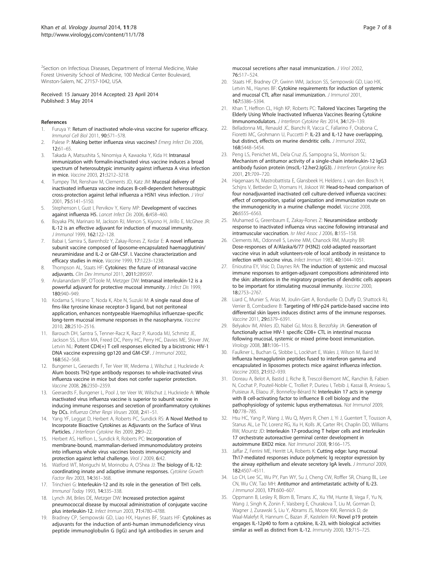<span id="page-6-0"></span><sup>2</sup>Section on Infectious Diseases, Department of Internal Medicine, Wake Forest University School of Medicine, 100 Medical Center Boulevard, Winston-Salem, NC 27157-1042, USA.

#### Received: 15 January 2014 Accepted: 23 April 2014 Published: 3 May 2014

#### References

- 1. Furuya Y: Return of inactivated whole-virus vaccine for superior efficacy. Immunol Cell Biol 2011, 90:571–578.
- Palese P: Making better influenza virus vaccines? Emerg Infect Dis 2006, 12:61–65.
- Takada A, Matsushita S, Ninomiya A, Kawaoka Y, Kida H: Intranasal immunization with formalin-inactivated virus vaccine induces a broad spectrum of heterosubtypic immunity against influenza A virus infection in mice. Vaccine 2003, 21:3212–3218.
- 4. Tumpey TM, Renshaw M, Clements JD, Katz JM: Mucosal delivery of inactivated influenza vaccine induces B-cell-dependent heterosubtypic cross-protection against lethal influenza a H5N1 virus infection. J Virol 2001, 75:5141–5150.
- 5. Stephenson I, Gust I, Pervikov Y, Kieny MP: Development of vaccines against influenza H5. Lancet Infect Dis 2006, 6:458–460.
- 6. Boyaka PN, Marinaro M, Jackson RJ, Menon S, Kiyono H, Jirillo E, McGhee JR: IL-12 is an effective adjuvant for induction of mucosal immunity. J Immunol 1999, 162:122–128.
- 7. Babai I, Samira S, Barenholz Y, Zakay-Rones Z, Kedar E: A novel influenza subunit vaccine composed of liposome-encapsulated haemagglutinin/ neuraminidase and IL-2 or GM-CSF. I. Vaccine characterization and efficacy studies in mice. Vaccine 1999, 17:1223–1238.
- Thompson AL, Staats HF: Cytokines: the future of intranasal vaccine adjuvants. Clin Dev Immunol 2011, 2011:289597.
- Arulanandam BP, O'Toole M, Metzger DW: Intranasal interleukin-12 is a powerful adjuvant for protective mucosal immunity. J Infect Dis 1999, 180:940–949.
- 10. Kodama S, Hirano T, Noda K, Abe N, Suzuki M: A single nasal dose of fms-like tyrosine kinase receptor-3 ligand, but not peritoneal application, enhances nontypeable Haemophilus influenzae-specific long-term mucosal immune responses in the nasopharynx. Vaccine 2010, 28:2510–2516.
- 11. Barouch DH, Santra S, Tenner-Racz K, Racz P, Kuroda MJ, Schmitz JE, Jackson SS, Lifton MA, Freed DC, Perry HC, Perry HC, Davies ME, Shiver JW, Letvin NL: Potent CD4(+) T cell responses elicited by a bicistronic HIV-1 DNA vaccine expressing gp120 and GM-CSF. J Immunol 2002, 168:562–568.
- 12. Bungener L, Geeraedts F, Ter Veer W, Medema J, Wilschut J, Huckriede A: Alum boosts TH2-type antibody responses to whole-inactivated virus influenza vaccine in mice but does not confer superior protection. Vaccine 2008, 26:2350–2359.
- 13. Geeraedts F, Bungener L, Pool J, ter Veer W, Wilschut J, Huckriede A: Whole inactivated virus influenza vaccine is superior to subunit vaccine in inducing immune responses and secretion of proinflammatory cytokines by DCs. Influenza Other Respi Viruses 2008, 2:41–51.
- 14. Yang YF, Leggat D, Herbert A, Roberts PC, Sundick RS: A Novel Method to Incorporate Bioactive Cytokines as Adjuvants on the Surface of Virus Particles. J Interferon Cytokine Res 2009, 29:9–22.
- 15. Herbert AS, Heffron L, Sundick R, Roberts PC: Incorporation of membrane-bound, mammalian-derived immunomodulatory proteins into influenza whole virus vaccines boosts immunogenicity and protection against lethal challenge. Virol J 2009, 6:42.
- 16. Watford WT, Moriguchi M, Morinobu A, O'Shea JJ: The biology of IL-12: coordinating innate and adaptive immune responses. Cytokine Growth Factor Rev 2003, 14:361–368.
- 17. Trinchieri G: Interleukin-12 and its role in the generation of TH1 cells. Immunol Today 1993, 14:335–338.
- 18. Lynch JM, Briles DE, Metzger DW: Increased protection against pneumococcal disease by mucosal administration of conjugate vaccine plus interleukin-12. Infect Immun 2003, 71:4780–4788.
- 19. Bradney CP, Sempowski GD, Liao HX, Haynes BF, Staats HF: Cytokines as adjuvants for the induction of anti-human immunodeficiency virus peptide immunoglobulin G (IgG) and IgA antibodies in serum and

mucosal secretions after nasal immunization. J Virol 2002, 76:517–524.

- 20. Staats HF, Bradney CP, Gwinn WM, Jackson SS, Sempowski GD, Liao HX Letvin NL, Haynes BF: Cytokine requirements for induction of systemic and mucosal CTL after nasal immunization. *J Immunol* 2001, 167:5386–5394.
- 21. Khan T, Heffron CL, High KP, Roberts PC: Tailored Vaccines Targeting the Elderly Using Whole Inactivated Influenza Vaccines Bearing Cytokine Immunomodulators. J Interferon Cytokine Res 2014, 34:129–139.
- 22. Belladonna ML, Renauld JC, Bianchi R, Vacca C, Fallarino F, Orabona C, Fioretti MC, Grohmann U, Puccetti P: IL-23 and IL-12 have overlapping, but distinct, effects on murine dendritic cells. J Immunol 2002, 168:5448–5454.
- 23. Peng LS, Penichet ML, Dela Cruz JS, Sampogna SL, Morrison SL: Mechanism of antitumor activity of a single-chain interleukin-12 IgG3 antibody fusion protein (mscIL-12.her2.IgG3). J Interferon Cytokine Res 2001, 21:709–720.
- 24. Hagenaars N, Mastrobattista E, Glansbeek H, Heldens J, van den Bosch H, Schijns V, Betbeder D, Vromans H, Jiskoot W; Head-to-head comparison of four nonadjuvanted inactivated cell culture-derived influenza vaccines: effect of composition, spatial organization and immunization route on the immunogenicity in a murine challenge model. Vaccine 2008, 26:6555–6563.
- 25. Muhamed G, Greenbaum E, Zakay-Rones Z: Neuraminidase antibody response to inactivated influenza virus vaccine following intranasal and intramuscular vaccination. Isr Med Assoc J 2006, 8:155–158.
- 26. Clements ML, Odonnell S, Levine MM, Chanock RM, Murphy BR: Dose-responses of A/Alaska/6/77 (H3N2) cold-adapted reassortant vaccine virus in adult volunteers-role of local antibody in resistance to infection with vaccine virus. Infect Immun 1983, 40:1044–1051.
- 27. Enioutina EY, Visic D, Daynes RA: The induction of systemic and mucosal immune responses to antigen-adjuvant compositions administered into the skin: alterations in the migratory properties of dendritic cells appears to be important for stimulating mucosal immunity. Vaccine 2000, 18:2753–2767.
- 28. Liard C, Munier S, Arias M, Joulin-Giet A, Bonduelle O, Duffy D, Shattock RJ, Verrier B, Combadiere B: Targeting of HIV-p24 particle-based vaccine into differential skin layers induces distinct arms of the immune responses. Vaccine 2011, 29:6379–6391.
- 29. Belyakov IM, Ahlers JD, Nabel GJ, Moss B, Berzofsky JA: Generation of functionally active HIV-1 specific CD8+ CTL in intestinal mucosa following mucosal, systemic or mixed prime-boost immunization. Virology 2008, 381:106–115.
- 30. Faulkner L, Buchan G, Slobbe L, Lockhart E, Wales J, Wilson M, Baird M: Influenza hemagglutinin peptides fused to interferon gamma and encapsulated in liposomes protects mice against influenza infection. Vaccine 2003, 21:932–939.
- 31. Doreau A, Belot A, Bastid J, Riche B, Trescol-Biemont MC, Ranchin B, Fabien N, Cochat P, Pouteil-Noble C, Trolliet P, Durieu I, Tebib J, Kassai B, Ansieau S, Puisieux A, Eliaou JF, Bonnefoy-Bérard N: Interleukin 17 acts in synergy with B cell-activating factor to influence B cell biology and the pathophysiology of systemic lupus erythematosus. Nat Immunol 2009, 10:778–785.
- 32. Hsu HC, Yang P, Wang J, Wu Q, Myers R, Chen J, Yi J, Guentert T, Tousson A, Stanus AL, Le TV, Lorenz RG, Xu H, Kolls JK, Carter RH, Chaplin DD, Williams RW, Mountz JD: Interleukin 17-producing T helper cells and interleukin 17 orchestrate autoreactive germinal center development in autoimmune BXD2 mice. Nat Immunol 2008, 9:166–175.
- 33. Jaffar Z, Ferrini ME, Herritt LA, Roberts K: Cutting edge: lung mucosal Th17-mediated responses induce polymeric Ig receptor expression by the airway epithelium and elevate secretory IgA levels. J Immunol 2009, 182:4507–4511.
- 34. Lo CH, Lee SC, Wu PY, Pan WY, Su J, Cheng CW, Roffler SR, Chiang BL, Lee CN, Wu CW, Tao MH: Antitumor and antimetastatic activity of IL-23. J Immunol 2003, 171:600–607.
- 35. Oppmann B, Lesley R, Blom B, Timans JC, Xu YM, Hunte B, Vega F, Yu N, Wang J, Singh K, Zonin F, Vaisberg E, Churakova T, Liu M, Gorman D, Wagner J, Zurawski S, Liu Y, Abrams JS, Moore KW, Rennick D, de Waal-Malefyt R, Hannum C, Bazan JF, Kastelein RA: Novel p19 protein engages IL-12p40 to form a cytokine, IL-23, with biological activities similar as well as distinct from IL-12. Immunity 2000, 13:715–725.